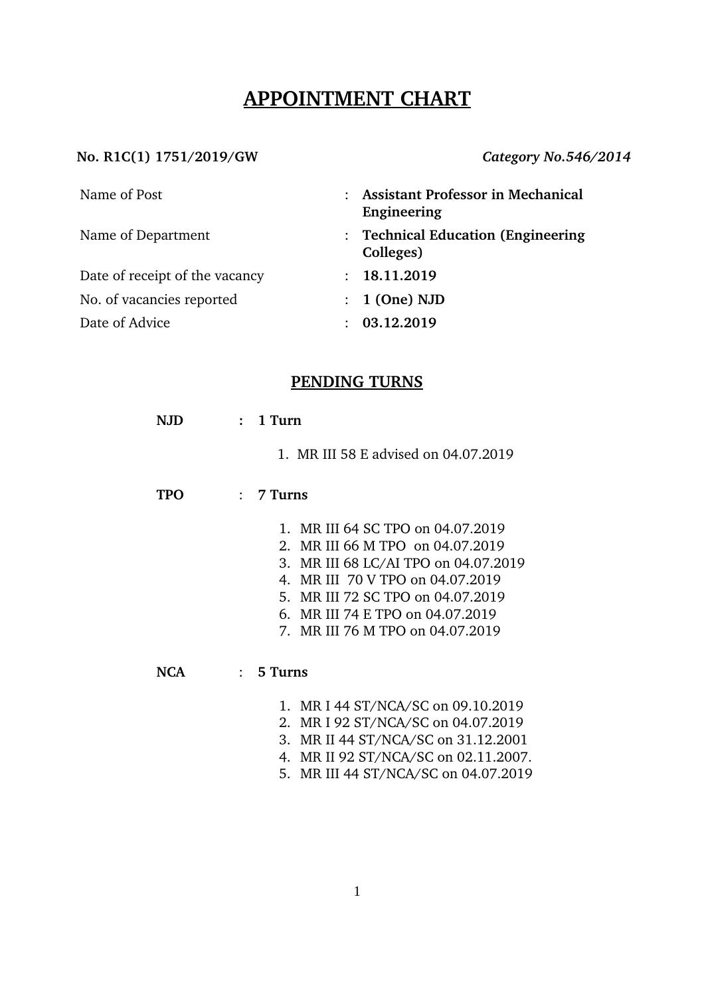# **APPOINTMENT CHART**

#### **No. R1C(1) 1751/2019/GW** *Category No.546/2014*

| Name of Post                   | <b>Assistant Professor in Mechanical</b><br>Engineering |  |
|--------------------------------|---------------------------------------------------------|--|
| Name of Department             | : Technical Education (Engineering<br>Colleges)         |  |
| Date of receipt of the vacancy | 18.11.2019<br>$\mathcal{L}$                             |  |
| No. of vacancies reported      | $: 1$ (One) NJD                                         |  |
| Date of Advice                 | 03.12.2019                                              |  |

## **PENDING TURNS**

| NJD | $1$ Turn                                               |
|-----|--------------------------------------------------------|
|     | 1. MR III 58 E advised on 04.07.2019                   |
| TPO | 7 Turns<br>$\mathcal{L}$                               |
|     | MR III 64 SC TPO on 04.07.2019<br>$\mathbf{1}_{\cdot}$ |
|     | 2. MR III 66 M TPO on 04.07.2019                       |
|     | 3. MR III 68 LC/AI TPO on 04.07.2019                   |
|     | MR III 70 V TPO on 04.07.2019<br>4.                    |
|     | 5. MR III 72 SC TPO on 04.07.2019                      |
|     | 6. MR III 74 E TPO on 04.07.2019                       |
|     | 7. MR III 76 M TPO on 04.07.2019                       |
| NCA | 5 Turns<br>$\mathcal{L}$                               |
|     | 1. MR I 44 ST/NCA/SC on 09.10.2019                     |
|     | 2. MR I 92 ST/NCA/SC on 04.07.2019                     |

- 3. MR II 44 ST/NCA/SC on 31.12.2001
- 4. MR II 92 ST/NCA/SC on 02.11.2007.
- 5. MR III 44 ST/NCA/SC on 04.07.2019